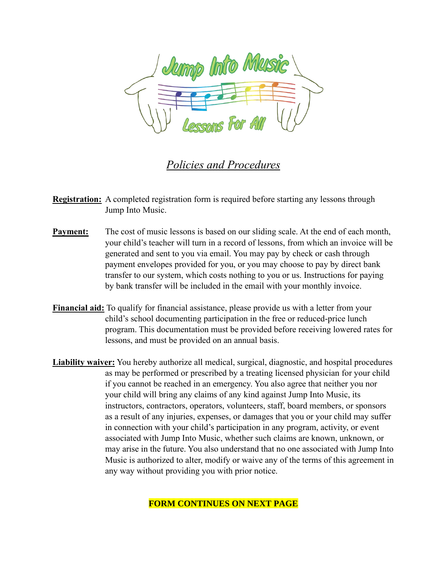

## *Policies and Procedures*

- **Registration:** A completed registration form is required before starting any lessons through Jump Into Music.
- **Payment:** The cost of music lessons is based on our sliding scale. At the end of each month, your child's teacher will turn in a record of lessons, from which an invoice will be generated and sent to you via email. You may pay by check or cash through payment envelopes provided for you, or you may choose to pay by direct bank transfer to our system, which costs nothing to you or us. Instructions for paying by bank transfer will be included in the email with your monthly invoice.
- **Financial aid:** To qualify for financial assistance, please provide us with a letter from your child's school documenting participation in the free or reduced-price lunch program. This documentation must be provided before receiving lowered rates for lessons, and must be provided on an annual basis.
- **Liability waiver:** You hereby authorize all medical, surgical, diagnostic, and hospital procedures as may be performed or prescribed by a treating licensed physician for your child if you cannot be reached in an emergency. You also agree that neither you nor your child will bring any claims of any kind against Jump Into Music, its instructors, contractors, operators, volunteers, staff, board members, or sponsors as a result of any injuries, expenses, or damages that you or your child may suffer in connection with your child's participation in any program, activity, or event associated with Jump Into Music, whether such claims are known, unknown, or may arise in the future. You also understand that no one associated with Jump Into Music is authorized to alter, modify or waive any of the terms of this agreement in any way without providing you with prior notice.

**FORM CONTINUES ON NEXT PAGE**